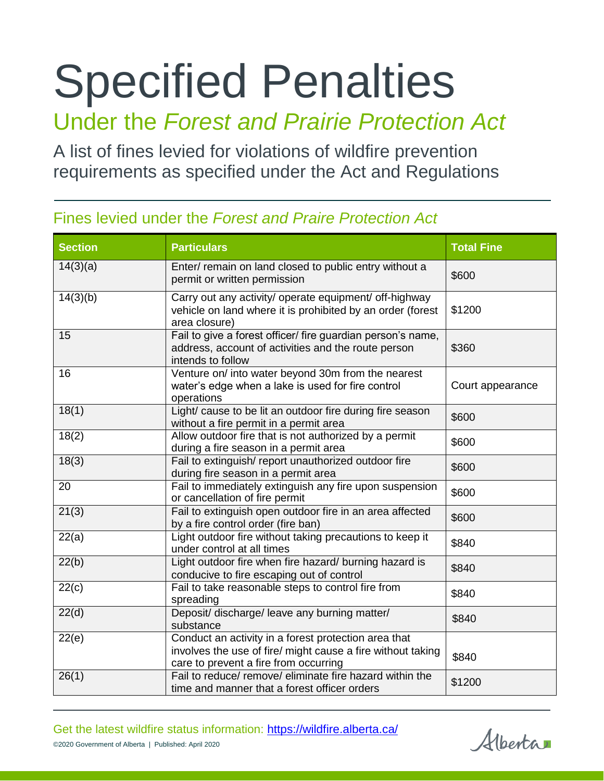# Specified Penalties

## Under the *Forest and Prairie Protection Act*

A list of fines levied for violations of wildfire prevention requirements as specified under the Act and Regulations

| <b>Section</b>     | <b>Particulars</b>                                                                                                                                           | <b>Total Fine</b> |
|--------------------|--------------------------------------------------------------------------------------------------------------------------------------------------------------|-------------------|
| 14(3)(a)           | Enter/ remain on land closed to public entry without a<br>permit or written permission                                                                       | \$600             |
| 14(3)(b)           | Carry out any activity/ operate equipment/ off-highway<br>vehicle on land where it is prohibited by an order (forest<br>area closure)                        | \$1200            |
| 15                 | Fail to give a forest officer/ fire guardian person's name,<br>address, account of activities and the route person<br>intends to follow                      | \$360             |
| 16                 | Venture on/ into water beyond 30m from the nearest<br>water's edge when a lake is used for fire control<br>operations                                        | Court appearance  |
| 18(1)              | Light/ cause to be lit an outdoor fire during fire season<br>without a fire permit in a permit area                                                          | \$600             |
| 18(2)              | Allow outdoor fire that is not authorized by a permit<br>during a fire season in a permit area                                                               | \$600             |
| 18(3)              | Fail to extinguish/ report unauthorized outdoor fire<br>during fire season in a permit area                                                                  | \$600             |
| 20                 | Fail to immediately extinguish any fire upon suspension<br>or cancellation of fire permit                                                                    | \$600             |
| $\overline{21(3)}$ | Fail to extinguish open outdoor fire in an area affected<br>by a fire control order (fire ban)                                                               | \$600             |
| $\overline{22(a)}$ | Light outdoor fire without taking precautions to keep it<br>under control at all times                                                                       | \$840             |
| 22(b)              | Light outdoor fire when fire hazard/ burning hazard is<br>conducive to fire escaping out of control                                                          | \$840             |
| 22(c)              | Fail to take reasonable steps to control fire from<br>spreading                                                                                              | \$840             |
| 22(d)              | Deposit/ discharge/ leave any burning matter/<br>substance                                                                                                   | \$840             |
| 22(e)              | Conduct an activity in a forest protection area that<br>involves the use of fire/ might cause a fire without taking<br>care to prevent a fire from occurring | \$840             |
| 26(1)              | Fail to reduce/ remove/ eliminate fire hazard within the<br>time and manner that a forest officer orders                                                     | \$1200            |

### Fines levied under the *Forest and Praire Protection Act*

Get the latest wildfire status information:<https://wildfire.alberta.ca/> ©2020 Government of Alberta | Published: April 2020

Alberta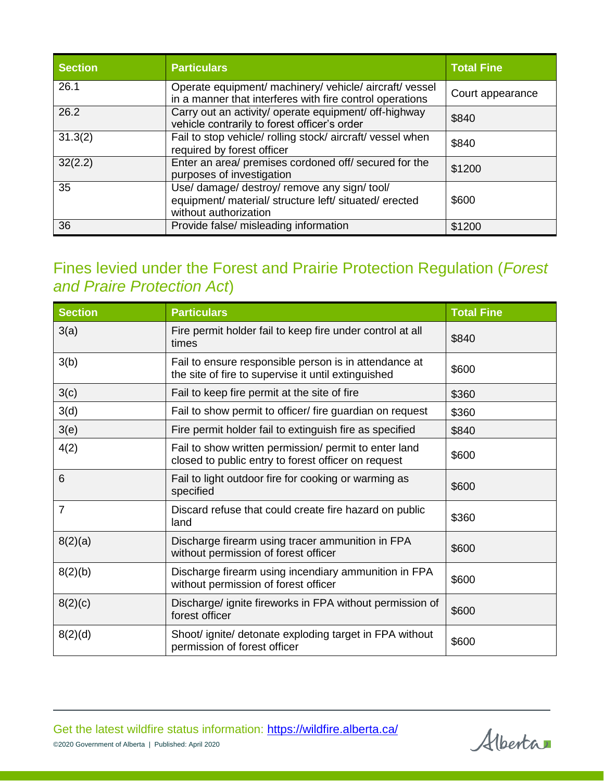| <b>Section</b> | <b>Particulars</b>                                                                                                              | <b>Total Fine</b> |
|----------------|---------------------------------------------------------------------------------------------------------------------------------|-------------------|
| 26.1           | Operate equipment/ machinery/ vehicle/ aircraft/ vessel<br>in a manner that interferes with fire control operations             | Court appearance  |
| 26.2           | Carry out an activity/ operate equipment/ off-highway<br>vehicle contrarily to forest officer's order                           | \$840             |
| 31.3(2)        | Fail to stop vehicle/ rolling stock/ aircraft/ vessel when<br>required by forest officer                                        | \$840             |
| 32(2.2)        | Enter an area/ premises cordoned off/ secured for the<br>purposes of investigation                                              | \$1200            |
| 35             | Use/ damage/ destroy/ remove any sign/ tool/<br>equipment/ material/ structure left/ situated/ erected<br>without authorization | \$600             |
| 36             | Provide false/ misleading information                                                                                           | \$1200            |

#### Fines levied under the Forest and Prairie Protection Regulation (*Forest and Praire Protection Act*)

| <b>Section</b> | <b>Particulars</b>                                                                                           | <b>Total Fine</b> |
|----------------|--------------------------------------------------------------------------------------------------------------|-------------------|
| 3(a)           | Fire permit holder fail to keep fire under control at all<br>times                                           | \$840             |
| 3(b)           | Fail to ensure responsible person is in attendance at<br>the site of fire to supervise it until extinguished | \$600             |
| 3(c)           | Fail to keep fire permit at the site of fire                                                                 | \$360             |
| 3(d)           | Fail to show permit to officer/ fire guardian on request                                                     | \$360             |
| 3(e)           | Fire permit holder fail to extinguish fire as specified                                                      | \$840             |
| 4(2)           | Fail to show written permission/ permit to enter land<br>closed to public entry to forest officer on request | \$600             |
| 6              | Fail to light outdoor fire for cooking or warming as<br>specified                                            | \$600             |
| $\overline{7}$ | Discard refuse that could create fire hazard on public<br>land                                               | \$360             |
| 8(2)(a)        | Discharge firearm using tracer ammunition in FPA<br>without permission of forest officer                     | \$600             |
| 8(2)(b)        | Discharge firearm using incendiary ammunition in FPA<br>without permission of forest officer                 | \$600             |
| 8(2)(c)        | Discharge/ ignite fireworks in FPA without permission of<br>forest officer                                   | \$600             |
| 8(2)(d)        | Shoot/ ignite/ detonate exploding target in FPA without<br>permission of forest officer                      | \$600             |

Alberta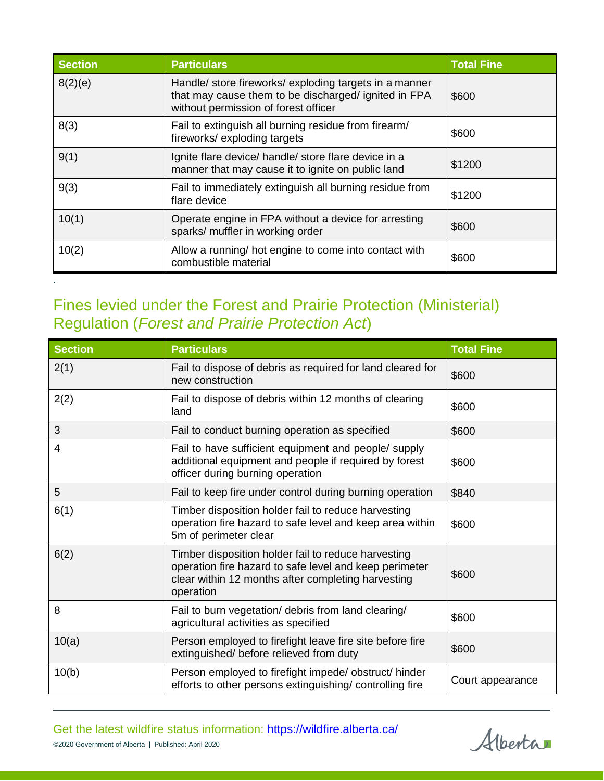| <b>Section</b> | <b>Particulars</b>                                                                                                                                     | <b>Total Fine</b> |
|----------------|--------------------------------------------------------------------------------------------------------------------------------------------------------|-------------------|
| 8(2)(e)        | Handle/ store fireworks/ exploding targets in a manner<br>that may cause them to be discharged/ ignited in FPA<br>without permission of forest officer | \$600             |
| 8(3)           | Fail to extinguish all burning residue from firearm/<br>fireworks/exploding targets                                                                    | \$600             |
| 9(1)           | Ignite flare device/ handle/ store flare device in a<br>manner that may cause it to ignite on public land                                              | \$1200            |
| 9(3)           | Fail to immediately extinguish all burning residue from<br>flare device                                                                                | \$1200            |
| 10(1)          | Operate engine in FPA without a device for arresting<br>sparks/ muffler in working order                                                               | \$600             |
| 10(2)          | Allow a running/ hot engine to come into contact with<br>combustible material                                                                          | \$600             |

#### Fines levied under the Forest and Prairie Protection (Ministerial) Regulation (*Forest and Prairie Protection Act*)

.

| <b>Section</b> | <b>Particulars</b>                                                                                                                                                               | <b>Total Fine</b> |
|----------------|----------------------------------------------------------------------------------------------------------------------------------------------------------------------------------|-------------------|
| 2(1)           | Fail to dispose of debris as required for land cleared for<br>new construction                                                                                                   | \$600             |
| 2(2)           | Fail to dispose of debris within 12 months of clearing<br>land                                                                                                                   | \$600             |
| 3              | Fail to conduct burning operation as specified                                                                                                                                   | \$600             |
| 4              | Fail to have sufficient equipment and people/ supply<br>additional equipment and people if required by forest<br>officer during burning operation                                | \$600             |
| 5              | Fail to keep fire under control during burning operation                                                                                                                         | \$840             |
| 6(1)           | Timber disposition holder fail to reduce harvesting<br>operation fire hazard to safe level and keep area within<br>5m of perimeter clear                                         | \$600             |
| 6(2)           | Timber disposition holder fail to reduce harvesting<br>operation fire hazard to safe level and keep perimeter<br>clear within 12 months after completing harvesting<br>operation | \$600             |
| 8              | Fail to burn vegetation/ debris from land clearing/<br>agricultural activities as specified                                                                                      | \$600             |
| 10(a)          | Person employed to firefight leave fire site before fire<br>extinguished/ before relieved from duty                                                                              | \$600             |
| 10(b)          | Person employed to firefight impede/obstruct/hinder<br>efforts to other persons extinguishing/ controlling fire                                                                  | Court appearance  |

Alberta